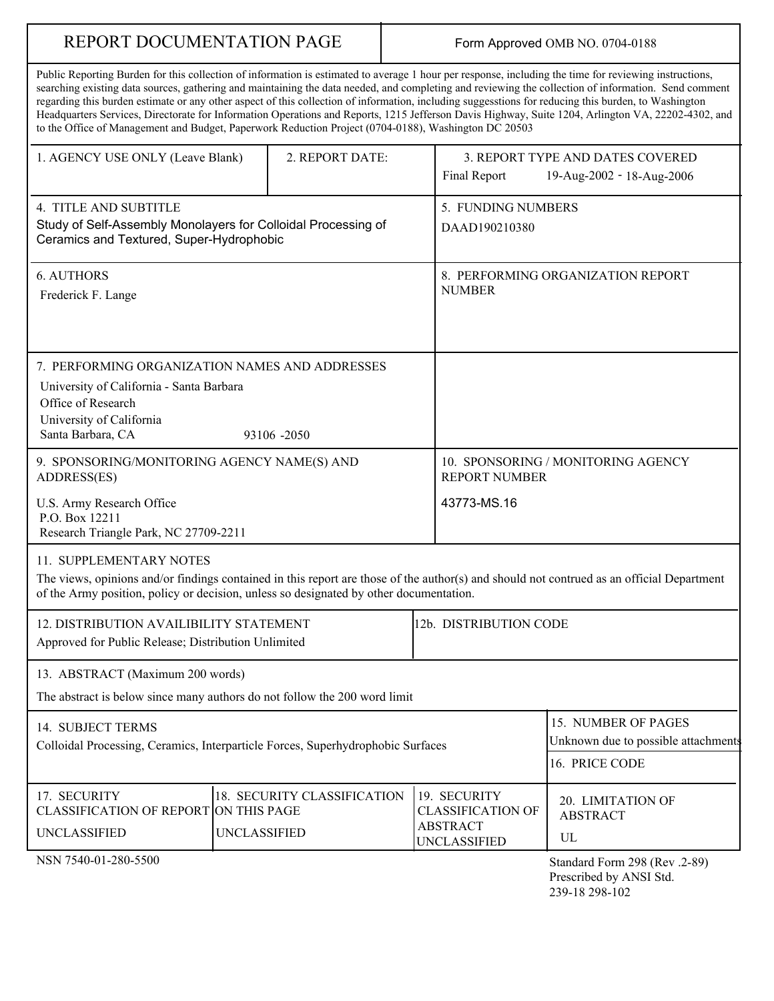# REPORT DOCUMENTATION PAGE

## Form Approved OMB NO. 0704-0188

| Public Reporting Burden for this collection of information is estimated to average 1 hour per response, including the time for reviewing instructions,<br>searching existing data sources, gathering and maintaining the data needed, and completing and reviewing the collection of information. Send comment<br>regarding this burden estimate or any other aspect of this collection of information, including suggesstions for reducing this burden, to Washington<br>Headquarters Services, Directorate for Information Operations and Reports, 1215 Jefferson Davis Highway, Suite 1204, Arlington VA, 22202-4302, and<br>to the Office of Management and Budget, Paperwork Reduction Project (0704-0188), Washington DC 20503 |                 |                                                                               |  |  |  |  |
|--------------------------------------------------------------------------------------------------------------------------------------------------------------------------------------------------------------------------------------------------------------------------------------------------------------------------------------------------------------------------------------------------------------------------------------------------------------------------------------------------------------------------------------------------------------------------------------------------------------------------------------------------------------------------------------------------------------------------------------|-----------------|-------------------------------------------------------------------------------|--|--|--|--|
| 1. AGENCY USE ONLY (Leave Blank)                                                                                                                                                                                                                                                                                                                                                                                                                                                                                                                                                                                                                                                                                                     | 2. REPORT DATE: | 3. REPORT TYPE AND DATES COVERED<br>Final Report<br>19-Aug-2002 - 18-Aug-2006 |  |  |  |  |

| 4. TITLE AND SUBTITLE                                                                                                                                                                                                               | 5. FUNDING NUMBERS                                         |  |  |
|-------------------------------------------------------------------------------------------------------------------------------------------------------------------------------------------------------------------------------------|------------------------------------------------------------|--|--|
| Study of Self-Assembly Monolayers for Colloidal Processing of<br>Ceramics and Textured, Super-Hydrophobic                                                                                                                           | DAAD190210380                                              |  |  |
| <b>6. AUTHORS</b>                                                                                                                                                                                                                   | 8. PERFORMING ORGANIZATION REPORT                          |  |  |
| Frederick F. Lange                                                                                                                                                                                                                  | <b>NUMBER</b>                                              |  |  |
|                                                                                                                                                                                                                                     |                                                            |  |  |
| 7. PERFORMING ORGANIZATION NAMES AND ADDRESSES                                                                                                                                                                                      |                                                            |  |  |
| University of California - Santa Barbara                                                                                                                                                                                            |                                                            |  |  |
| Office of Research<br>University of California                                                                                                                                                                                      |                                                            |  |  |
| Santa Barbara, CA<br>93106 -2050                                                                                                                                                                                                    |                                                            |  |  |
| 9. SPONSORING/MONITORING AGENCY NAME(S) AND<br>ADDRESS(ES)                                                                                                                                                                          | 10. SPONSORING / MONITORING AGENCY<br><b>REPORT NUMBER</b> |  |  |
| U.S. Army Research Office                                                                                                                                                                                                           | 43773-MS.16                                                |  |  |
| P.O. Box 12211<br>Research Triangle Park, NC 27709-2211                                                                                                                                                                             |                                                            |  |  |
| 11. SUPPLEMENTARY NOTES                                                                                                                                                                                                             |                                                            |  |  |
| The views, opinions and/or findings contained in this report are those of the author(s) and should not contrued as an official Department<br>of the Army position, policy or decision, unless so designated by other documentation. |                                                            |  |  |
| 12. DISTRIBUTION AVAILIBILITY STATEMENT                                                                                                                                                                                             | 12b. DISTRIBUTION CODE                                     |  |  |
| Approved for Public Release; Distribution Unlimited                                                                                                                                                                                 |                                                            |  |  |
| 13. ABSTRACT (Maximum 200 words)                                                                                                                                                                                                    |                                                            |  |  |
| The abstract is below since many authors do not follow the 200 word limit                                                                                                                                                           |                                                            |  |  |
| 14 SURIECT TERMS                                                                                                                                                                                                                    | 15. NUMBER OF PAGES                                        |  |  |

| 14. SUBJECT TERMS<br>Colloidal Processing, Ceramics, Interparticle Forces, Superhydrophobic Surfaces | 115. NUMBER OF PAGES<br>Unknown due to possible attachments<br>116. PRICE CODE |                                                                        |                                            |
|------------------------------------------------------------------------------------------------------|--------------------------------------------------------------------------------|------------------------------------------------------------------------|--------------------------------------------|
| 17. SECURITY<br>CLASSIFICATION OF REPORT ON THIS PAGE<br>UNCLASSIFIED                                | 18. SECURITY CLASSIFICATION<br><b>UNCLASSIFIED</b>                             | 19. SECURITY<br>I CLASSIFICATION OF<br>ABSTRACT<br><b>UNCLASSIFIED</b> | 20. LIMITATION OF<br><b>ABSTRACT</b><br>UL |

NSN 7540-01-280-5500

Standard Form 298 (Rev .2-89) Prescribed by ANSI Std. 239-18 298-102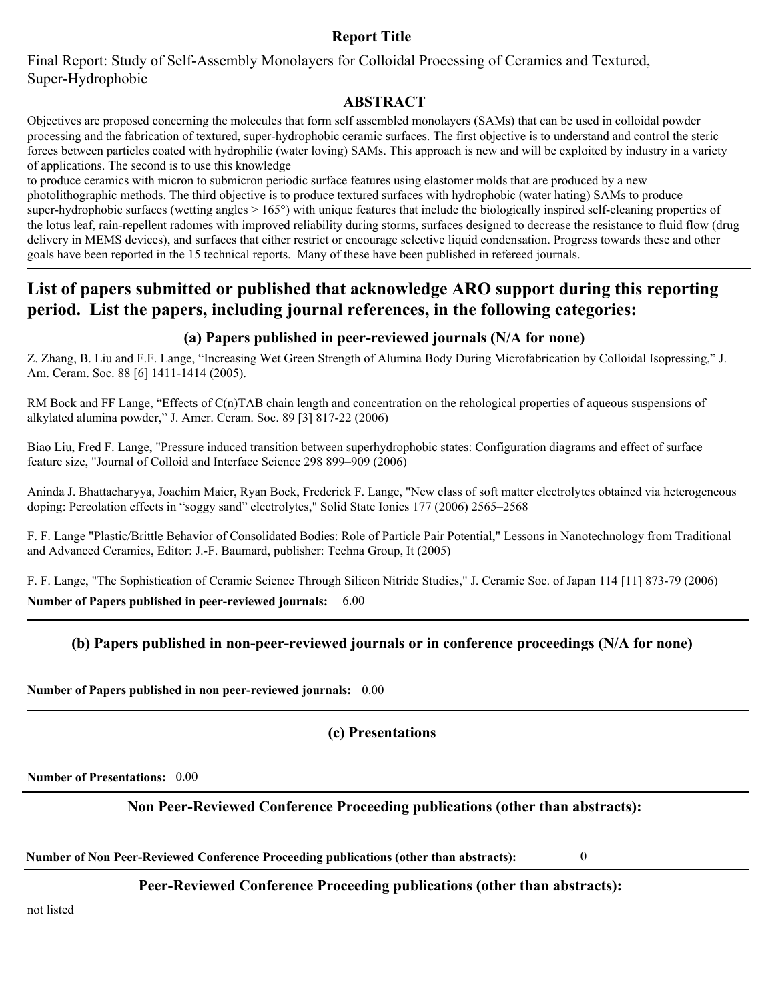## **Report Title**

Final Report: Study of Self-Assembly Monolayers for Colloidal Processing of Ceramics and Textured, Super-Hydrophobic

## **ABSTRACT**

Objectives are proposed concerning the molecules that form self assembled monolayers (SAMs) that can be used in colloidal powder processing and the fabrication of textured, super-hydrophobic ceramic surfaces. The first objective is to understand and control the steric forces between particles coated with hydrophilic (water loving) SAMs. This approach is new and will be exploited by industry in a variety of applications. The second is to use this knowledge

to produce ceramics with micron to submicron periodic surface features using elastomer molds that are produced by a new photolithographic methods. The third objective is to produce textured surfaces with hydrophobic (water hating) SAMs to produce super-hydrophobic surfaces (wetting angles  $> 165^{\circ}$ ) with unique features that include the biologically inspired self-cleaning properties of the lotus leaf, rain-repellent radomes with improved reliability during storms, surfaces designed to decrease the resistance to fluid flow (drug delivery in MEMS devices), and surfaces that either restrict or encourage selective liquid condensation. Progress towards these and other goals have been reported in the 15 technical reports. Many of these have been published in refereed journals.

## **List of papers submitted or published that acknowledge ARO support during this reporting period. List the papers, including journal references, in the following categories:**

## **(a) Papers published in peer-reviewed journals (N/A for none)**

Z. Zhang, B. Liu and F.F. Lange, "Increasing Wet Green Strength of Alumina Body During Microfabrication by Colloidal Isopressing," J. Am. Ceram. Soc. 88 [6] 1411-1414 (2005).

RM Bock and FF Lange, "Effects of C(n)TAB chain length and concentration on the rehological properties of aqueous suspensions of alkylated alumina powder," J. Amer. Ceram. Soc. 89 [3] 817-22 (2006)

Biao Liu, Fred F. Lange, "Pressure induced transition between superhydrophobic states: Configuration diagrams and effect of surface feature size, "Journal of Colloid and Interface Science 298 899–909 (2006)

Aninda J. Bhattacharyya, Joachim Maier, Ryan Bock, Frederick F. Lange, "New class of soft matter electrolytes obtained via heterogeneous doping: Percolation effects in "soggy sand" electrolytes," Solid State Ionics 177 (2006) 2565–2568

F. F. Lange "Plastic/Brittle Behavior of Consolidated Bodies: Role of Particle Pair Potential," Lessons in Nanotechnology from Traditional and Advanced Ceramics, Editor: J.-F. Baumard, publisher: Techna Group, It (2005)

F. F. Lange, "The Sophistication of Ceramic Science Through Silicon Nitride Studies," J. Ceramic Soc. of Japan 114 [11] 873-79 (2006) **Number of Papers published in peer-reviewed journals:** 6.00

## **(b) Papers published in non-peer-reviewed journals or in conference proceedings (N/A for none)**

**Number of Papers published in non peer-reviewed journals:** 0.00

## **(c) Presentations**

**Number of Presentations:** 0.00

## **Non Peer-Reviewed Conference Proceeding publications (other than abstracts):**

**Number of Non Peer-Reviewed Conference Proceeding publications (other than abstracts):** 0

**Peer-Reviewed Conference Proceeding publications (other than abstracts):** 

not listed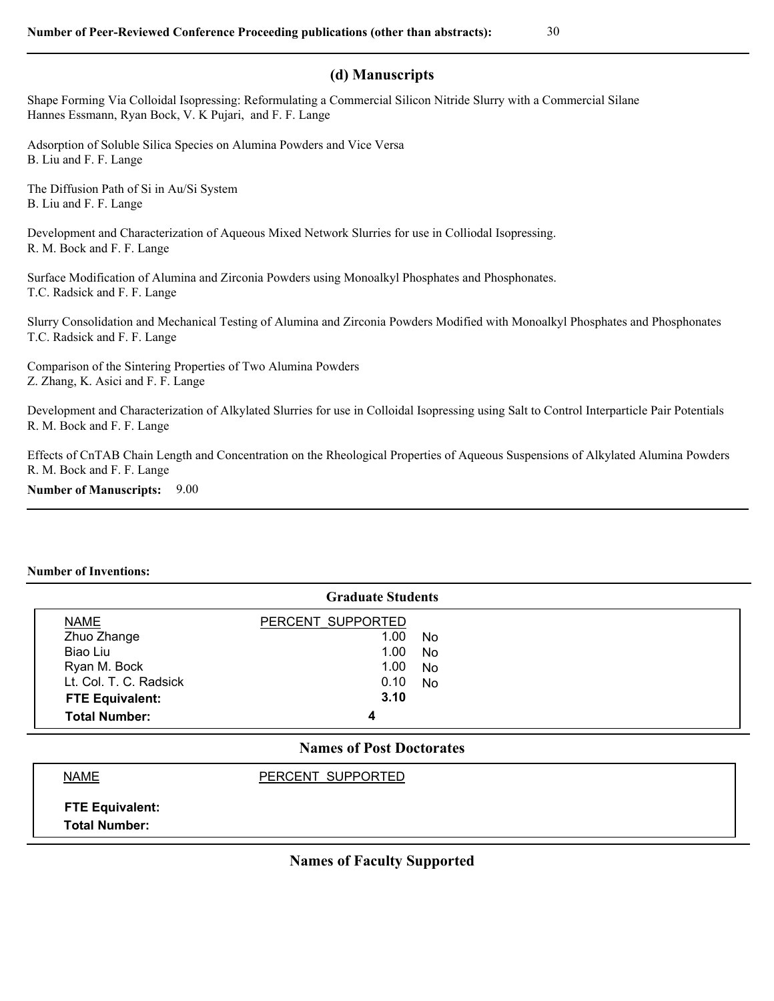## **(d) Manuscripts**

Shape Forming Via Colloidal Isopressing: Reformulating a Commercial Silicon Nitride Slurry with a Commercial Silane Hannes Essmann, Ryan Bock, V. K Pujari, and F. F. Lange

Adsorption of Soluble Silica Species on Alumina Powders and Vice Versa B. Liu and F. F. Lange

The Diffusion Path of Si in Au/Si System B. Liu and F. F. Lange

Development and Characterization of Aqueous Mixed Network Slurries for use in Colliodal Isopressing. R. M. Bock and F. F. Lange

Surface Modification of Alumina and Zirconia Powders using Monoalkyl Phosphates and Phosphonates. T.C. Radsick and F. F. Lange

Slurry Consolidation and Mechanical Testing of Alumina and Zirconia Powders Modified with Monoalkyl Phosphates and Phosphonates T.C. Radsick and F. F. Lange

Comparison of the Sintering Properties of Two Alumina Powders Z. Zhang, K. Asici and F. F. Lange

Development and Characterization of Alkylated Slurries for use in Colloidal Isopressing using Salt to Control Interparticle Pair Potentials R. M. Bock and F. F. Lange

Effects of CnTAB Chain Length and Concentration on the Rheological Properties of Aqueous Suspensions of Alkylated Alumina Powders R. M. Bock and F. F. Lange

**Number of Manuscripts:** 9.00

#### **Number of Inventions:**

| <b>Graduate Students</b> |                   |           |  |  |  |  |
|--------------------------|-------------------|-----------|--|--|--|--|
| <b>NAME</b>              | PERCENT SUPPORTED |           |  |  |  |  |
| Zhuo Zhange              | 1.00              | <b>No</b> |  |  |  |  |
| Biao Liu                 | 1.00              | <b>No</b> |  |  |  |  |
| Ryan M. Bock             | 1.00              | <b>No</b> |  |  |  |  |
| Lt. Col. T. C. Radsick   | 0.10              | <b>No</b> |  |  |  |  |
| <b>FTE Equivalent:</b>   | 3.10              |           |  |  |  |  |
| <b>Total Number:</b>     | 4<br>--           |           |  |  |  |  |

## **Names of Post Doctorates**

## NAME PERCENT SUPPORTED

**FTE Equivalent: Total Number:**

### **Names of Faculty Supported**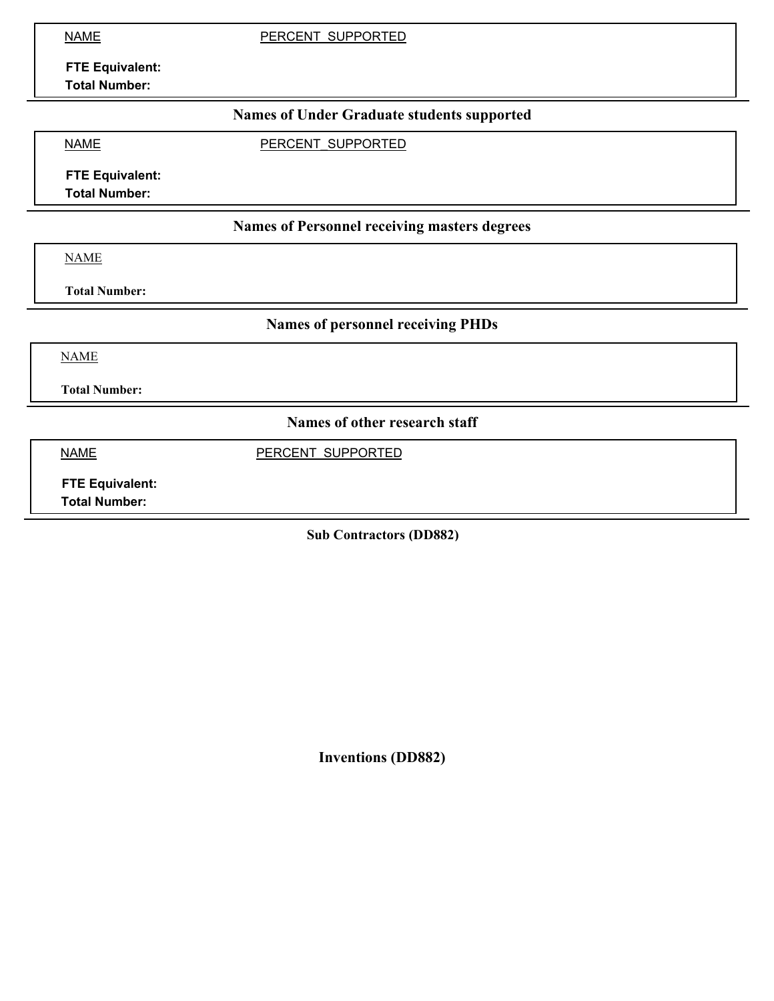NAME PERCENT SUPPORTED

**FTE Equivalent: Total Number:**

## **Names of Under Graduate students supported**

NAME **PERCENT SUPPORTED** 

**FTE Equivalent:**

**Total Number:**

## **Names of Personnel receiving masters degrees**

NAME

**Total Number:**

**Names of personnel receiving PHDs**

NAME

**Total Number:**

**Names of other research staff**

NAME PERCENT SUPPORTED

**FTE Equivalent: Total Number:**

**Sub Contractors (DD882)**

**Inventions (DD882)**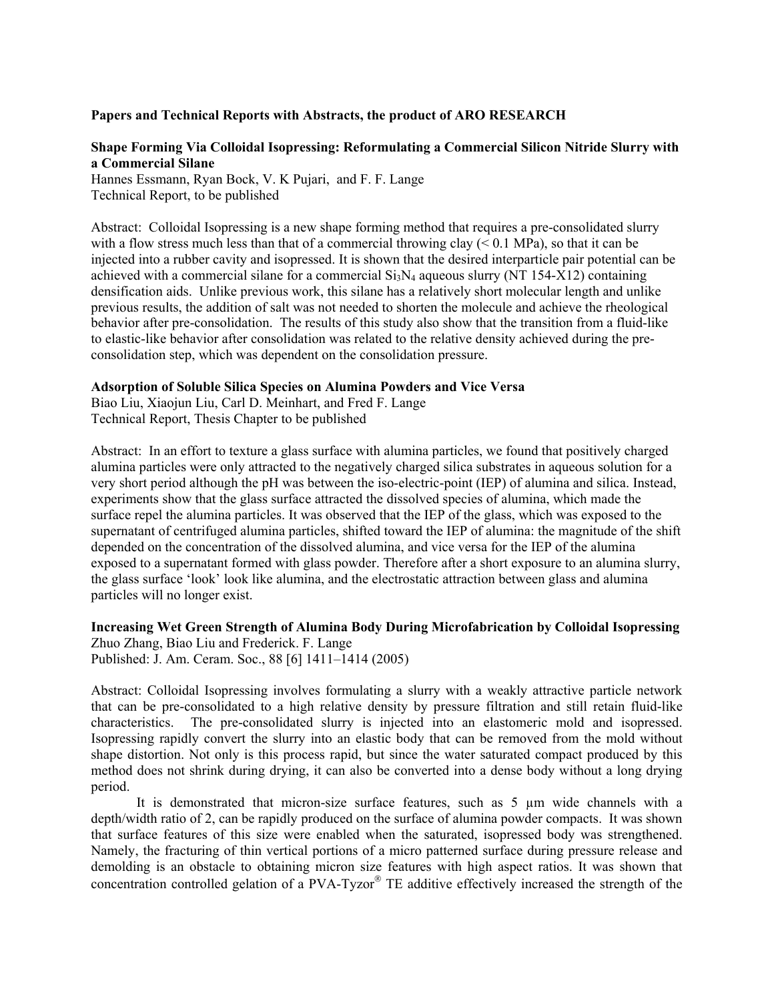### **Papers and Technical Reports with Abstracts, the product of ARO RESEARCH**

### **Shape Forming Via Colloidal Isopressing: Reformulating a Commercial Silicon Nitride Slurry with a Commercial Silane**

Hannes Essmann, Ryan Bock, V. K Pujari, and F. F. Lange Technical Report, to be published

Abstract: Colloidal Isopressing is a new shape forming method that requires a pre-consolidated slurry with a flow stress much less than that of a commercial throwing clay  $(< 0.1$  MPa), so that it can be injected into a rubber cavity and isopressed. It is shown that the desired interparticle pair potential can be achieved with a commercial silane for a commercial  $Si<sub>3</sub>N<sub>4</sub>$  aqueous slurry (NT 154-X12) containing densification aids. Unlike previous work, this silane has a relatively short molecular length and unlike previous results, the addition of salt was not needed to shorten the molecule and achieve the rheological behavior after pre-consolidation. The results of this study also show that the transition from a fluid-like to elastic-like behavior after consolidation was related to the relative density achieved during the preconsolidation step, which was dependent on the consolidation pressure.

#### **Adsorption of Soluble Silica Species on Alumina Powders and Vice Versa**

Biao Liu, Xiaojun Liu, Carl D. Meinhart, and Fred F. Lange Technical Report, Thesis Chapter to be published

Abstract: In an effort to texture a glass surface with alumina particles, we found that positively charged alumina particles were only attracted to the negatively charged silica substrates in aqueous solution for a very short period although the pH was between the iso-electric-point (IEP) of alumina and silica. Instead, experiments show that the glass surface attracted the dissolved species of alumina, which made the surface repel the alumina particles. It was observed that the IEP of the glass, which was exposed to the supernatant of centrifuged alumina particles, shifted toward the IEP of alumina: the magnitude of the shift depended on the concentration of the dissolved alumina, and vice versa for the IEP of the alumina exposed to a supernatant formed with glass powder. Therefore after a short exposure to an alumina slurry, the glass surface 'look' look like alumina, and the electrostatic attraction between glass and alumina particles will no longer exist.

#### **Increasing Wet Green Strength of Alumina Body During Microfabrication by Colloidal Isopressing**  Zhuo Zhang, Biao Liu and Frederick. F. Lange

Published: J. Am. Ceram. Soc., 88 [6] 1411–1414 (2005)

Abstract: Colloidal Isopressing involves formulating a slurry with a weakly attractive particle network that can be pre-consolidated to a high relative density by pressure filtration and still retain fluid-like characteristics. The pre-consolidated slurry is injected into an elastomeric mold and isopressed. Isopressing rapidly convert the slurry into an elastic body that can be removed from the mold without shape distortion. Not only is this process rapid, but since the water saturated compact produced by this method does not shrink during drying, it can also be converted into a dense body without a long drying period.

It is demonstrated that micron-size surface features, such as 5 µm wide channels with a depth/width ratio of 2, can be rapidly produced on the surface of alumina powder compacts. It was shown that surface features of this size were enabled when the saturated, isopressed body was strengthened. Namely, the fracturing of thin vertical portions of a micro patterned surface during pressure release and demolding is an obstacle to obtaining micron size features with high aspect ratios. It was shown that concentration controlled gelation of a PVA-Tyzor<sup>®</sup> TE additive effectively increased the strength of the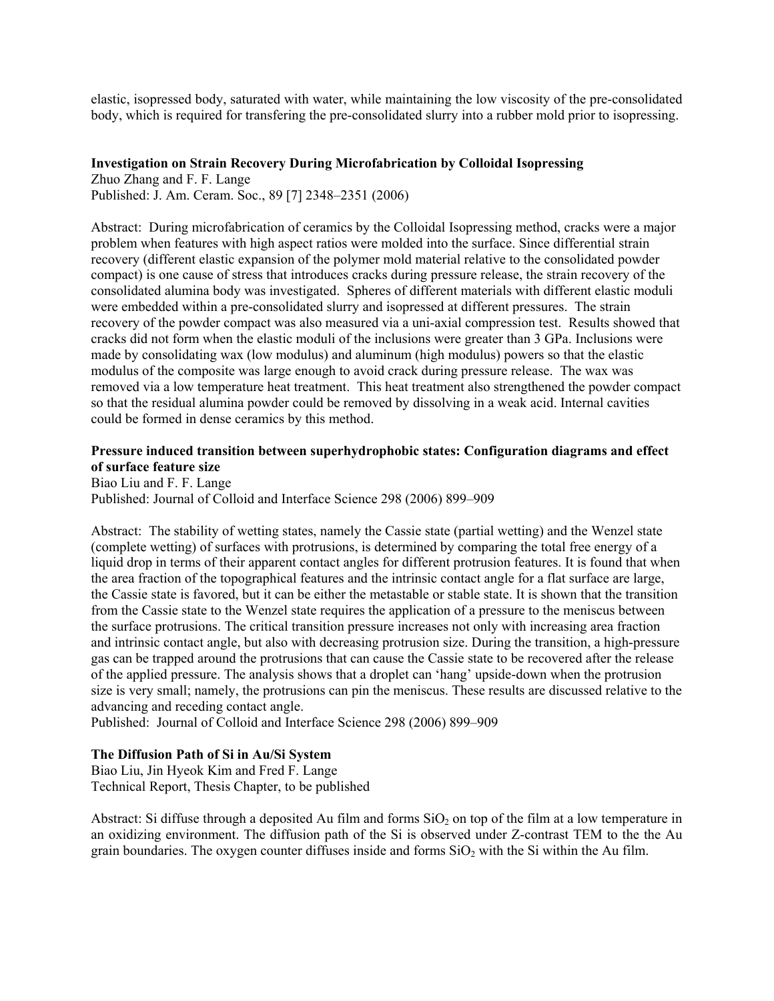elastic, isopressed body, saturated with water, while maintaining the low viscosity of the pre-consolidated body, which is required for transfering the pre-consolidated slurry into a rubber mold prior to isopressing.

#### **Investigation on Strain Recovery During Microfabrication by Colloidal Isopressing**

Zhuo Zhang and F. F. Lange Published: J. Am. Ceram. Soc., 89 [7] 2348–2351 (2006)

Abstract: During microfabrication of ceramics by the Colloidal Isopressing method, cracks were a major problem when features with high aspect ratios were molded into the surface. Since differential strain recovery (different elastic expansion of the polymer mold material relative to the consolidated powder compact) is one cause of stress that introduces cracks during pressure release, the strain recovery of the consolidated alumina body was investigated. Spheres of different materials with different elastic moduli were embedded within a pre-consolidated slurry and isopressed at different pressures. The strain recovery of the powder compact was also measured via a uni-axial compression test. Results showed that cracks did not form when the elastic moduli of the inclusions were greater than 3 GPa. Inclusions were made by consolidating wax (low modulus) and aluminum (high modulus) powers so that the elastic modulus of the composite was large enough to avoid crack during pressure release. The wax was removed via a low temperature heat treatment. This heat treatment also strengthened the powder compact so that the residual alumina powder could be removed by dissolving in a weak acid. Internal cavities could be formed in dense ceramics by this method.

### **Pressure induced transition between superhydrophobic states: Configuration diagrams and effect of surface feature size**

Biao Liu and F. F. Lange Published: Journal of Colloid and Interface Science 298 (2006) 899–909

Abstract: The stability of wetting states, namely the Cassie state (partial wetting) and the Wenzel state (complete wetting) of surfaces with protrusions, is determined by comparing the total free energy of a liquid drop in terms of their apparent contact angles for different protrusion features. It is found that when the area fraction of the topographical features and the intrinsic contact angle for a flat surface are large, the Cassie state is favored, but it can be either the metastable or stable state. It is shown that the transition from the Cassie state to the Wenzel state requires the application of a pressure to the meniscus between the surface protrusions. The critical transition pressure increases not only with increasing area fraction and intrinsic contact angle, but also with decreasing protrusion size. During the transition, a high-pressure gas can be trapped around the protrusions that can cause the Cassie state to be recovered after the release of the applied pressure. The analysis shows that a droplet can 'hang' upside-down when the protrusion size is very small; namely, the protrusions can pin the meniscus. These results are discussed relative to the advancing and receding contact angle.

Published: Journal of Colloid and Interface Science 298 (2006) 899–909

#### **The Diffusion Path of Si in Au/Si System**

Biao Liu, Jin Hyeok Kim and Fred F. Lange Technical Report, Thesis Chapter, to be published

Abstract: Si diffuse through a deposited Au film and forms  $SiO<sub>2</sub>$  on top of the film at a low temperature in an oxidizing environment. The diffusion path of the Si is observed under Z-contrast TEM to the the Au grain boundaries. The oxygen counter diffuses inside and forms  $SiO<sub>2</sub>$  with the Si within the Au film.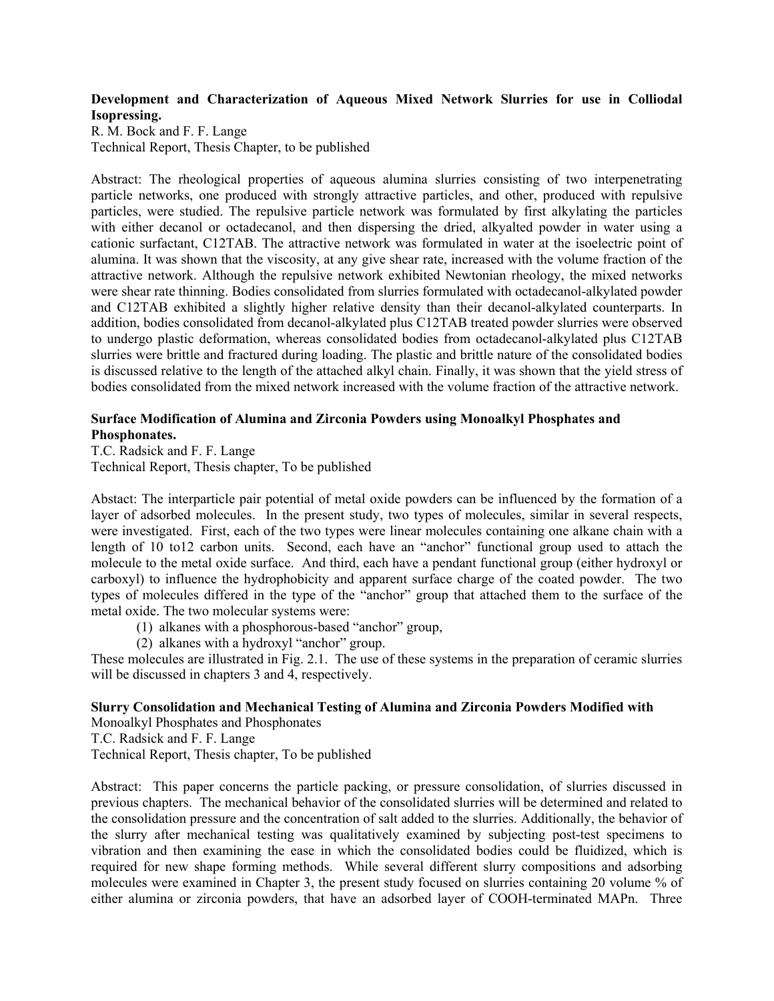### **Development and Characterization of Aqueous Mixed Network Slurries for use in Colliodal Isopressing.**

R. M. Bock and F. F. Lange Technical Report, Thesis Chapter, to be published

Abstract: The rheological properties of aqueous alumina slurries consisting of two interpenetrating particle networks, one produced with strongly attractive particles, and other, produced with repulsive particles, were studied. The repulsive particle network was formulated by first alkylating the particles with either decanol or octadecanol, and then dispersing the dried, alkyalted powder in water using a cationic surfactant, C12TAB. The attractive network was formulated in water at the isoelectric point of alumina. It was shown that the viscosity, at any give shear rate, increased with the volume fraction of the attractive network. Although the repulsive network exhibited Newtonian rheology, the mixed networks were shear rate thinning. Bodies consolidated from slurries formulated with octadecanol-alkylated powder and C12TAB exhibited a slightly higher relative density than their decanol-alkylated counterparts. In addition, bodies consolidated from decanol-alkylated plus C12TAB treated powder slurries were observed to undergo plastic deformation, whereas consolidated bodies from octadecanol-alkylated plus C12TAB slurries were brittle and fractured during loading. The plastic and brittle nature of the consolidated bodies is discussed relative to the length of the attached alkyl chain. Finally, it was shown that the yield stress of bodies consolidated from the mixed network increased with the volume fraction of the attractive network.

## **Surface Modification of Alumina and Zirconia Powders using Monoalkyl Phosphates and Phosphonates.**

T.C. Radsick and F. F. Lange Technical Report, Thesis chapter, To be published

Abstact: The interparticle pair potential of metal oxide powders can be influenced by the formation of a layer of adsorbed molecules. In the present study, two types of molecules, similar in several respects, were investigated. First, each of the two types were linear molecules containing one alkane chain with a length of 10 to12 carbon units. Second, each have an "anchor" functional group used to attach the molecule to the metal oxide surface. And third, each have a pendant functional group (either hydroxyl or carboxyl) to influence the hydrophobicity and apparent surface charge of the coated powder. The two types of molecules differed in the type of the "anchor" group that attached them to the surface of the metal oxide. The two molecular systems were:

- (1) alkanes with a phosphorous-based "anchor" group,
- (2) alkanes with a hydroxyl "anchor" group.

These molecules are illustrated in Fig. 2.1. The use of these systems in the preparation of ceramic slurries will be discussed in chapters 3 and 4, respectively.

### **Slurry Consolidation and Mechanical Testing of Alumina and Zirconia Powders Modified with**

Monoalkyl Phosphates and Phosphonates

T.C. Radsick and F. F. Lange

Technical Report, Thesis chapter, To be published

Abstract: This paper concerns the particle packing, or pressure consolidation, of slurries discussed in previous chapters. The mechanical behavior of the consolidated slurries will be determined and related to the consolidation pressure and the concentration of salt added to the slurries. Additionally, the behavior of the slurry after mechanical testing was qualitatively examined by subjecting post-test specimens to vibration and then examining the ease in which the consolidated bodies could be fluidized, which is required for new shape forming methods. While several different slurry compositions and adsorbing molecules were examined in Chapter 3, the present study focused on slurries containing 20 volume % of either alumina or zirconia powders, that have an adsorbed layer of COOH-terminated MAPn. Three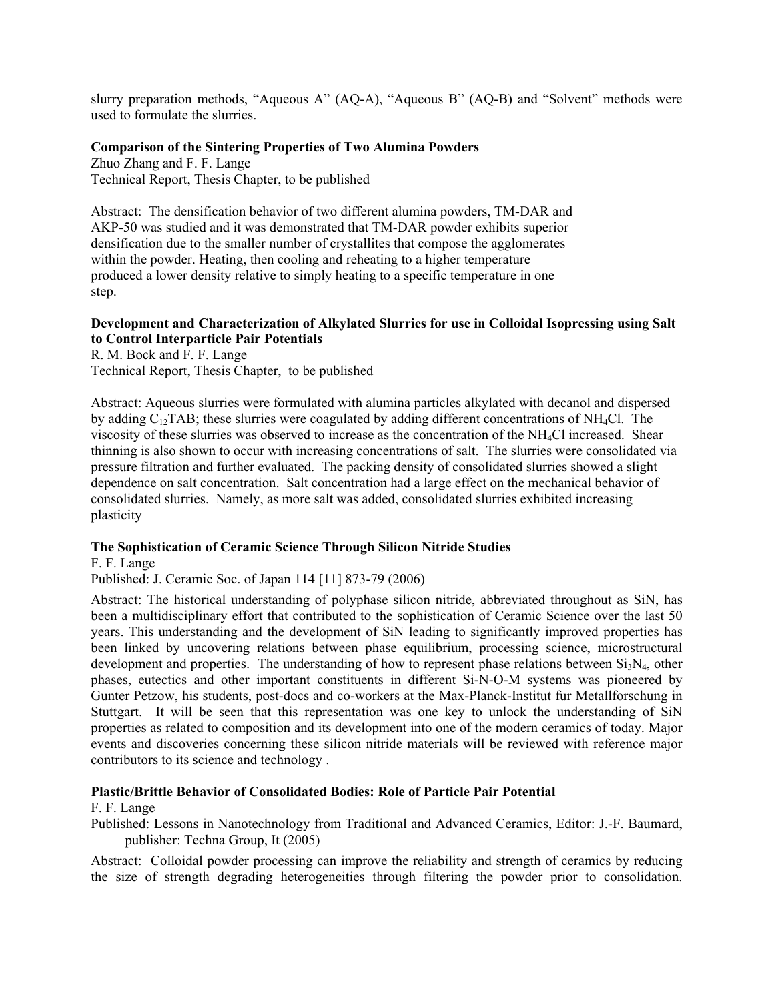slurry preparation methods, "Aqueous A" (AQ-A), "Aqueous B" (AQ-B) and "Solvent" methods were used to formulate the slurries.

### **Comparison of the Sintering Properties of Two Alumina Powders**

Zhuo Zhang and F. F. Lange Technical Report, Thesis Chapter, to be published

Abstract: The densification behavior of two different alumina powders, TM-DAR and AKP-50 was studied and it was demonstrated that TM-DAR powder exhibits superior densification due to the smaller number of crystallites that compose the agglomerates within the powder. Heating, then cooling and reheating to a higher temperature produced a lower density relative to simply heating to a specific temperature in one step.

### **Development and Characterization of Alkylated Slurries for use in Colloidal Isopressing using Salt to Control Interparticle Pair Potentials**

R. M. Bock and F. F. Lange Technical Report, Thesis Chapter, to be published

Abstract: Aqueous slurries were formulated with alumina particles alkylated with decanol and dispersed by adding  $C_{12}TAB$ ; these slurries were coagulated by adding different concentrations of NH<sub>4</sub>Cl. The viscosity of these slurries was observed to increase as the concentration of the NH4Cl increased. Shear thinning is also shown to occur with increasing concentrations of salt. The slurries were consolidated via pressure filtration and further evaluated. The packing density of consolidated slurries showed a slight dependence on salt concentration. Salt concentration had a large effect on the mechanical behavior of consolidated slurries. Namely, as more salt was added, consolidated slurries exhibited increasing plasticity

### **The Sophistication of Ceramic Science Through Silicon Nitride Studies**

F. F. Lange Published: J. Ceramic Soc. of Japan 114 [11] 873-79 (2006)

Abstract: The historical understanding of polyphase silicon nitride, abbreviated throughout as SiN, has been a multidisciplinary effort that contributed to the sophistication of Ceramic Science over the last 50 years. This understanding and the development of SiN leading to significantly improved properties has been linked by uncovering relations between phase equilibrium, processing science, microstructural development and properties. The understanding of how to represent phase relations between  $Si<sub>3</sub>N<sub>4</sub>$ , other phases, eutectics and other important constituents in different Si-N-O-M systems was pioneered by Gunter Petzow, his students, post-docs and co-workers at the Max-Planck-Institut fur Metallforschung in Stuttgart. It will be seen that this representation was one key to unlock the understanding of SiN properties as related to composition and its development into one of the modern ceramics of today. Major events and discoveries concerning these silicon nitride materials will be reviewed with reference major contributors to its science and technology .

## **Plastic/Brittle Behavior of Consolidated Bodies: Role of Particle Pair Potential**

#### F. F. Lange

Published: Lessons in Nanotechnology from Traditional and Advanced Ceramics, Editor: J.-F. Baumard, publisher: Techna Group, It (2005)

Abstract: Colloidal powder processing can improve the reliability and strength of ceramics by reducing the size of strength degrading heterogeneities through filtering the powder prior to consolidation.